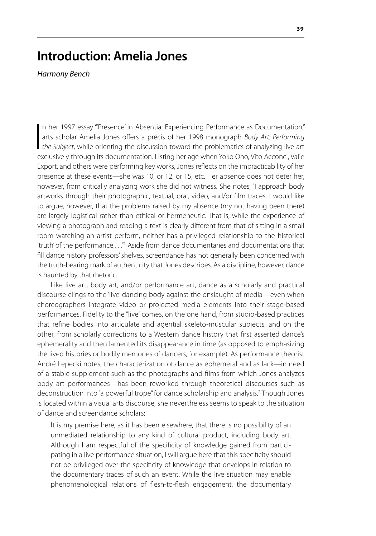## **Introduction: Amelia Jones**

*Harmony Bench*

 $\begin{array}{c} \hline \end{array}$ n her 1997 essay "'Presence' in Absentia: Experiencing Performance as Documentation," arts scholar Amelia Jones offers a précis of her 1998 monograph *Body Art: Performing the Subject*, while orienting the discussion toward the problematics of analyzing live art exclusively through its documentation. Listing her age when Yoko Ono, Vito Acconci, Valie Export, and others were performing key works, Jones reflects on the impracticability of her presence at these events—she was 10, or 12, or 15, etc. Her absence does not deter her, however, from critically analyzing work she did not witness. She notes, "I approach body artworks through their photographic, textual, oral, video, and/or film traces. I would like to argue, however, that the problems raised by my absence (my not having been there) are largely logistical rather than ethical or hermeneutic. That is, while the experience of viewing a photograph and reading a text is clearly different from that of sitting in a small room watching an artist perform, neither has a privileged relationship to the historical 'truth' of the performance . . ."1 Aside from dance documentaries and documentations that fill dance history professors' shelves, screendance has not generally been concerned with the truth-bearing mark of authenticity that Jones describes. As a discipline, however, dance is haunted by that rhetoric.

Like live art, body art, and/or performance art, dance as a scholarly and practical discourse clings to the 'live' dancing body against the onslaught of media—even when choreographers integrate video or projected media elements into their stage-based performances. Fidelity to the "live" comes, on the one hand, from studio-based practices that refine bodies into articulate and agential skeleto-muscular subjects, and on the other, from scholarly corrections to a Western dance history that first asserted dance's ephemerality and then lamented its disappearance in time (as opposed to emphasizing the lived histories or bodily memories of dancers, for example). As performance theorist André Lepecki notes, the characterization of dance as ephemeral and as lack—in need of a stable supplement such as the photographs and films from which Jones analyzes body art performances—has been reworked through theoretical discourses such as deconstruction into "a powerful trope" for dance scholarship and analysis.<sup>2</sup> Though Jones is located within a visual arts discourse, she nevertheless seems to speak to the situation of dance and screendance scholars:

It is my premise here, as it has been elsewhere, that there is no possibility of an unmediated relationship to any kind of cultural product, including body art. Although I am respectful of the specificity of knowledge gained from participating in a live performance situation, I will argue here that this specificity should not be privileged over the specificity of knowledge that develops in relation to the documentary traces of such an event. While the live situation may enable phenomenological relations of flesh-to-flesh engagement, the documentary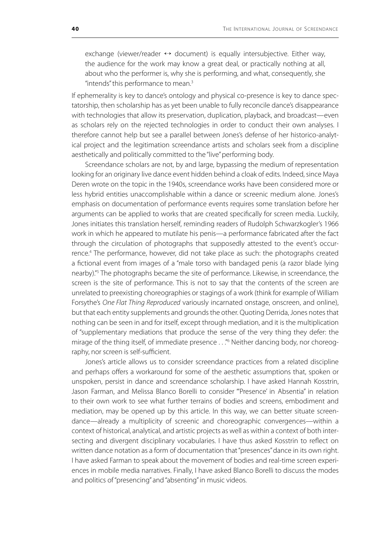exchange (viewer/reader ↔ document) is equally intersubjective. Either way, the audience for the work may know a great deal, or practically nothing at all, about who the performer is, why she is performing, and what, consequently, she "intends" this performance to mean.<sup>3</sup>

If ephemerality is key to dance's ontology and physical co-presence is key to dance spectatorship, then scholarship has as yet been unable to fully reconcile dance's disappearance with technologies that allow its preservation, duplication, playback, and broadcast—even as scholars rely on the rejected technologies in order to conduct their own analyses. I therefore cannot help but see a parallel between Jones's defense of her historico-analytical project and the legitimation screendance artists and scholars seek from a discipline aesthetically and politically committed to the "live" performing body.

Screendance scholars are not, by and large, bypassing the medium of representation looking for an originary live dance event hidden behind a cloak of edits. Indeed, since Maya Deren wrote on the topic in the 1940s, screendance works have been considered more or less hybrid entities unaccomplishable within a dance or screenic medium alone. Jones's emphasis on documentation of performance events requires some translation before her arguments can be applied to works that are created specifically for screen media. Luckily, Jones initiates this translation herself, reminding readers of Rudolph Schwarzkogler's 1966 work in which he appeared to mutilate his penis—a performance fabricated after the fact through the circulation of photographs that supposedly attested to the event's occurrence.<sup>4</sup> The performance, however, did not take place as such: the photographs created a fictional event from images of a "male torso with bandaged penis (a razor blade lying nearby)."5 The photographs became the site of performance. Likewise, in screendance, the screen is the site of performance. This is not to say that the contents of the screen are unrelated to preexisting choreographies or stagings of a work (think for example of William Forsythe's *One Flat Thing Reproduced* variously incarnated onstage, onscreen, and online), but that each entity supplements and grounds the other. Quoting Derrida, Jones notes that nothing can be seen in and for itself, except through mediation, and it is the multiplication of "supplementary mediations that produce the sense of the very thing they defer: the mirage of the thing itself, of immediate presence . . ."6 Neither dancing body, nor choreography, nor screen is self-sufficient.

Jones's article allows us to consider screendance practices from a related discipline and perhaps offers a workaround for some of the aesthetic assumptions that, spoken or unspoken, persist in dance and screendance scholarship. I have asked Hannah Kosstrin, Jason Farman, and Melissa Blanco Borelli to consider "'Presence' in Absentia" in relation to their own work to see what further terrains of bodies and screens, embodiment and mediation, may be opened up by this article. In this way, we can better situate screendance—already a multiplicity of screenic and choreographic convergences—within a context of historical, analytical, and artistic projects as well as within a context of both intersecting and divergent disciplinary vocabularies. I have thus asked Kosstrin to reflect on written dance notation as a form of documentation that "presences" dance in its own right. I have asked Farman to speak about the movement of bodies and real-time screen experiences in mobile media narratives. Finally, I have asked Blanco Borelli to discuss the modes and politics of "presencing" and "absenting" in music videos.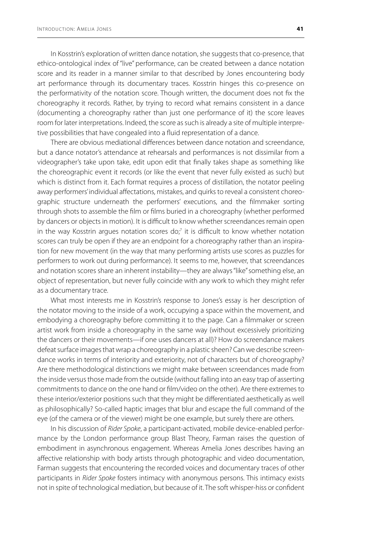In Kosstrin's exploration of written dance notation, she suggests that co-presence, that ethico-ontological index of "live" performance, can be created between a dance notation score and its reader in a manner similar to that described by Jones encountering body art performance through its documentary traces. Kosstrin hinges this co-presence on the performativity of the notation score. Though written, the document does not fix the choreography it records. Rather, by trying to record what remains consistent in a dance (documenting a choreography rather than just one performance of it) the score leaves room for later interpretations. Indeed, the score as such is already a site of multiple interpretive possibilities that have congealed into a fluid representation of a dance.

There are obvious mediational differences between dance notation and screendance, but a dance notator's attendance at rehearsals and performances is not dissimilar from a videographer's take upon take, edit upon edit that finally takes shape as something like the choreographic event it records (or like the event that never fully existed as such) but which is distinct from it. Each format requires a process of distillation, the notator peeling away performers' individual affectations, mistakes, and quirks to reveal a consistent choreographic structure underneath the performers' executions, and the filmmaker sorting through shots to assemble the film or films buried in a choreography (whether performed by dancers or objects in motion). It is difficult to know whether screendances remain open in the way Kosstrin argues notation scores do;<sup>7</sup> it is difficult to know whether notation scores can truly be open if they are an endpoint for a choreography rather than an inspiration for new movement (in the way that many performing artists use scores as puzzles for performers to work out during performance). It seems to me, however, that screendances and notation scores share an inherent instability—they are always "like" something else, an object of representation, but never fully coincide with any work to which they might refer as a documentary trace.

What most interests me in Kosstrin's response to Jones's essay is her description of the notator moving to the inside of a work, occupying a space within the movement, and embodying a choreography before committing it to the page. Can a filmmaker or screen artist work from inside a choreography in the same way (without excessively prioritizing the dancers or their movements—if one uses dancers at all)? How do screendance makers defeat surface images that wrap a choreography in a plastic sheen? Can we describe screendance works in terms of interiority and exteriority, not of characters but of choreography? Are there methodological distinctions we might make between screendances made from the inside versus those made from the outside (without falling into an easy trap of asserting commitments to dance on the one hand or film/video on the other). Are there extremes to these interior/exterior positions such that they might be differentiated aesthetically as well as philosophically? So-called haptic images that blur and escape the full command of the eye (of the camera or of the viewer) might be one example, but surely there are others.

In his discussion of *Rider Spoke*, a participant-activated, mobile device-enabled performance by the London performance group Blast Theory, Farman raises the question of embodiment in asynchronous engagement. Whereas Amelia Jones describes having an affective relationship with body artists through photographic and video documentation, Farman suggests that encountering the recorded voices and documentary traces of other participants in *Rider Spoke* fosters intimacy with anonymous persons. This intimacy exists not in spite of technological mediation, but because of it. The soft whisper-hiss or confident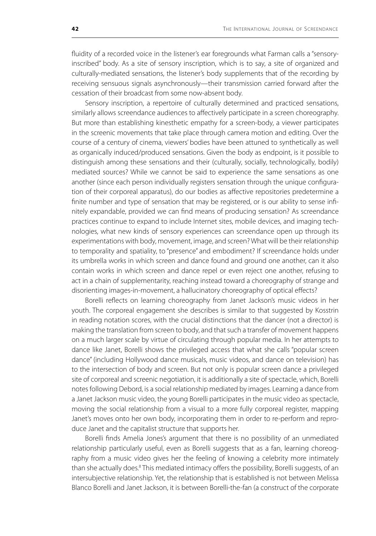fluidity of a recorded voice in the listener's ear foregrounds what Farman calls a "sensoryinscribed" body. As a site of sensory inscription, which is to say, a site of organized and culturally-mediated sensations, the listener's body supplements that of the recording by receiving sensuous signals asynchronously—their transmission carried forward after the cessation of their broadcast from some now-absent body.

Sensory inscription, a repertoire of culturally determined and practiced sensations, similarly allows screendance audiences to affectively participate in a screen choreography. But more than establishing kinesthetic empathy for a screen-body, a viewer participates in the screenic movements that take place through camera motion and editing. Over the course of a century of cinema, viewers' bodies have been attuned to synthetically as well as organically induced/produced sensations. Given the body as endpoint, is it possible to distinguish among these sensations and their (culturally, socially, technologically, bodily) mediated sources? While we cannot be said to experience the same sensations as one another (since each person individually registers sensation through the unique configuration of their corporeal apparatus), do our bodies as affective repositories predetermine a finite number and type of sensation that may be registered, or is our ability to sense infinitely expandable, provided we can find means of producing sensation? As screendance practices continue to expand to include Internet sites, mobile devices, and imaging technologies, what new kinds of sensory experiences can screendance open up through its experimentations with body, movement, image, and screen? What will be their relationship to temporality and spatiality, to "presence" and embodiment? If screendance holds under its umbrella works in which screen and dance found and ground one another, can it also contain works in which screen and dance repel or even reject one another, refusing to act in a chain of supplementarity, reaching instead toward a choreography of strange and disorienting images-in-movement, a hallucinatory choreography of optical effects?

Borelli reflects on learning choreography from Janet Jackson's music videos in her youth. The corporeal engagement she describes is similar to that suggested by Kosstrin in reading notation scores, with the crucial distinctions that the dancer (not a director) is making the translation from screen to body, and that such a transfer of movement happens on a much larger scale by virtue of circulating through popular media. In her attempts to dance like Janet, Borelli shows the privileged access that what she calls "popular screen dance" (including Hollywood dance musicals, music videos, and dance on television) has to the intersection of body and screen. But not only is popular screen dance a privileged site of corporeal and screenic negotiation, it is additionally a site of spectacle, which, Borelli notes following Debord, is a social relationship mediated by images. Learning a dance from a Janet Jackson music video, the young Borelli participates in the music video as spectacle, moving the social relationship from a visual to a more fully corporeal register, mapping Janet's moves onto her own body, incorporating them in order to re-perform and reproduce Janet and the capitalist structure that supports her.

Borelli finds Amelia Jones's argument that there is no possibility of an unmediated relationship particularly useful, even as Borelli suggests that as a fan, learning choreography from a music video gives her the feeling of knowing a celebrity more intimately than she actually does.<sup>8</sup> This mediated intimacy offers the possibility, Borelli suggests, of an intersubjective relationship. Yet, the relationship that is established is not between Melissa Blanco Borelli and Janet Jackson, it is between Borelli-the-fan (a construct of the corporate